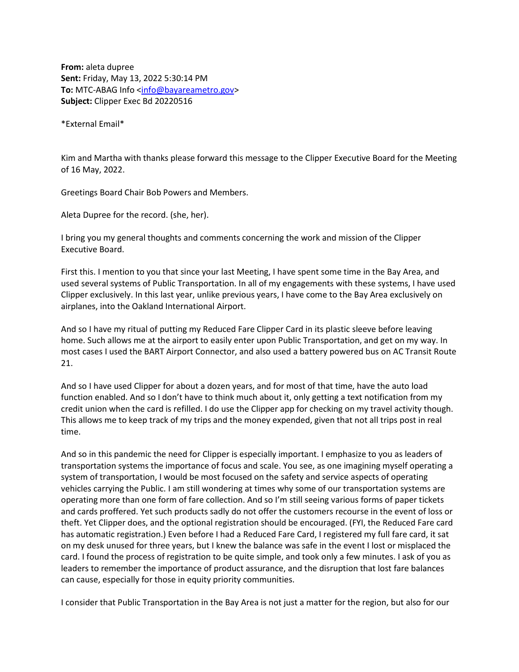**From:** aleta dupree **Sent:** Friday, May 13, 2022 5:30:14 PM **To:** MTC-ABAG Info [<info@bayareametro.gov>](mailto:info@bayareametro.gov) **Subject:** Clipper Exec Bd 20220516

\*External Email\*

Kim and Martha with thanks please forward this message to the Clipper Executive Board for the Meeting of 16 May, 2022.

Greetings Board Chair Bob Powers and Members.

Aleta Dupree for the record. (she, her).

I bring you my general thoughts and comments concerning the work and mission of the Clipper Executive Board.

First this. I mention to you that since your last Meeting, I have spent some time in the Bay Area, and used several systems of Public Transportation. In all of my engagements with these systems, I have used Clipper exclusively. In this last year, unlike previous years, I have come to the Bay Area exclusively on airplanes, into the Oakland International Airport.

And so I have my ritual of putting my Reduced Fare Clipper Card in its plastic sleeve before leaving home. Such allows me at the airport to easily enter upon Public Transportation, and get on my way. In most cases I used the BART Airport Connector, and also used a battery powered bus on AC Transit Route 21.

And so I have used Clipper for about a dozen years, and for most of that time, have the auto load function enabled. And so I don't have to think much about it, only getting a text notification from my credit union when the card is refilled. I do use the Clipper app for checking on my travel activity though. This allows me to keep track of my trips and the money expended, given that not all trips post in real time.

And so in this pandemic the need for Clipper is especially important. I emphasize to you as leaders of transportation systems the importance of focus and scale. You see, as one imagining myself operating a system of transportation, I would be most focused on the safety and service aspects of operating vehicles carrying the Public. I am still wondering at times why some of our transportation systems are operating more than one form of fare collection. And so I'm still seeing various forms of paper tickets and cards proffered. Yet such products sadly do not offer the customers recourse in the event of loss or theft. Yet Clipper does, and the optional registration should be encouraged. (FYI, the Reduced Fare card has automatic registration.) Even before I had a Reduced Fare Card, I registered my full fare card, it sat on my desk unused for three years, but I knew the balance was safe in the event I lost or misplaced the card. I found the process of registration to be quite simple, and took only a few minutes. I ask of you as leaders to remember the importance of product assurance, and the disruption that lost fare balances can cause, especially for those in equity priority communities.

I consider that Public Transportation in the Bay Area is not just a matter for the region, but also for our